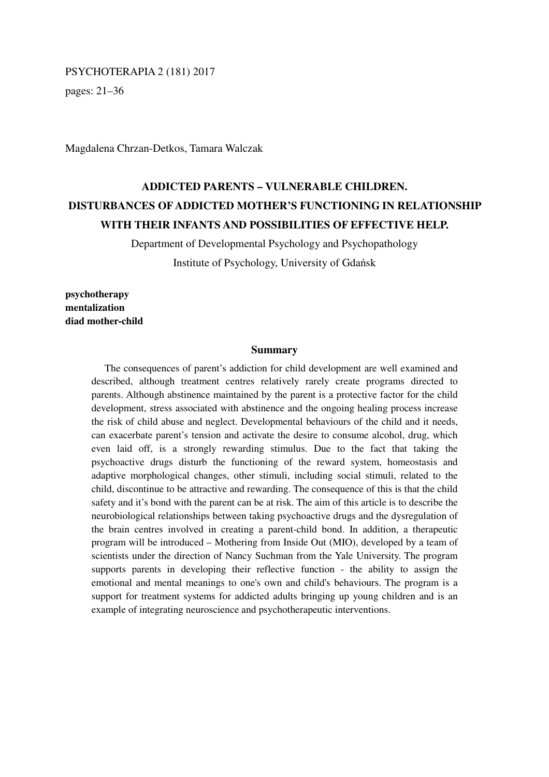#### PSYCHOTERAPIA 2 (181) 2017

pages: 21–36

Magdalena Chrzan-Detkos, Tamara Walczak

# **ADDICTED PARENTS – VULNERABLE CHILDREN. DISTURBANCES OF ADDICTED MOTHER'S FUNCTIONING IN RELATIONSHIP WITH THEIR INFANTS AND POSSIBILITIES OF EFFECTIVE HELP.**

Department of Developmental Psychology and Psychopathology Institute of Psychology, University of Gdańsk

**psychotherapy mentalization diad mother-child** 

### **Summary**

The consequences of parent's addiction for child development are well examined and described, although treatment centres relatively rarely create programs directed to parents. Although abstinence maintained by the parent is a protective factor for the child development, stress associated with abstinence and the ongoing healing process increase the risk of child abuse and neglect. Developmental behaviours of the child and it needs, can exacerbate parent's tension and activate the desire to consume alcohol, drug, which even laid off, is a strongly rewarding stimulus. Due to the fact that taking the psychoactive drugs disturb the functioning of the reward system, homeostasis and adaptive morphological changes, other stimuli, including social stimuli, related to the child, discontinue to be attractive and rewarding. The consequence of this is that the child safety and it's bond with the parent can be at risk. The aim of this article is to describe the neurobiological relationships between taking psychoactive drugs and the dysregulation of the brain centres involved in creating a parent-child bond. In addition, a therapeutic program will be introduced – Mothering from Inside Out (MIO), developed by a team of scientists under the direction of Nancy Suchman from the Yale University. The program supports parents in developing their reflective function - the ability to assign the emotional and mental meanings to one's own and child's behaviours. The program is a support for treatment systems for addicted adults bringing up young children and is an example of integrating neuroscience and psychotherapeutic interventions.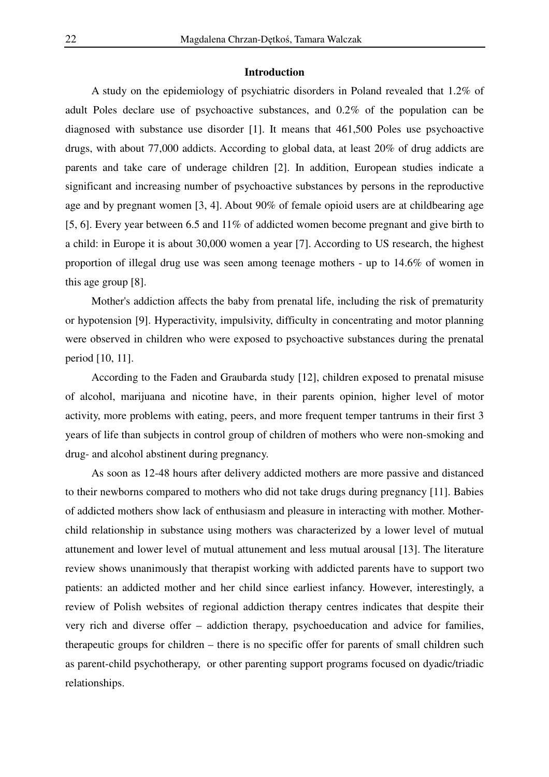### **Introduction**

A study on the epidemiology of psychiatric disorders in Poland revealed that 1.2% of adult Poles declare use of psychoactive substances, and 0.2% of the population can be diagnosed with substance use disorder [1]. It means that 461,500 Poles use psychoactive drugs, with about 77,000 addicts. According to global data, at least 20% of drug addicts are parents and take care of underage children [2]. In addition, European studies indicate a significant and increasing number of psychoactive substances by persons in the reproductive age and by pregnant women [3, 4]. About 90% of female opioid users are at childbearing age [5, 6]. Every year between 6.5 and 11% of addicted women become pregnant and give birth to a child: in Europe it is about 30,000 women a year [7]. According to US research, the highest proportion of illegal drug use was seen among teenage mothers - up to 14.6% of women in this age group [8].

Mother's addiction affects the baby from prenatal life, including the risk of prematurity or hypotension [9]. Hyperactivity, impulsivity, difficulty in concentrating and motor planning were observed in children who were exposed to psychoactive substances during the prenatal period [10, 11].

According to the Faden and Graubarda study [12], children exposed to prenatal misuse of alcohol, marijuana and nicotine have, in their parents opinion, higher level of motor activity, more problems with eating, peers, and more frequent temper tantrums in their first 3 years of life than subjects in control group of children of mothers who were non-smoking and drug- and alcohol abstinent during pregnancy.

As soon as 12-48 hours after delivery addicted mothers are more passive and distanced to their newborns compared to mothers who did not take drugs during pregnancy [11]. Babies of addicted mothers show lack of enthusiasm and pleasure in interacting with mother. Motherchild relationship in substance using mothers was characterized by a lower level of mutual attunement and lower level of mutual attunement and less mutual arousal [13]. The literature review shows unanimously that therapist working with addicted parents have to support two patients: an addicted mother and her child since earliest infancy. However, interestingly, a review of Polish websites of regional addiction therapy centres indicates that despite their very rich and diverse offer – addiction therapy, psychoeducation and advice for families, therapeutic groups for children – there is no specific offer for parents of small children such as parent-child psychotherapy, or other parenting support programs focused on dyadic/triadic relationships.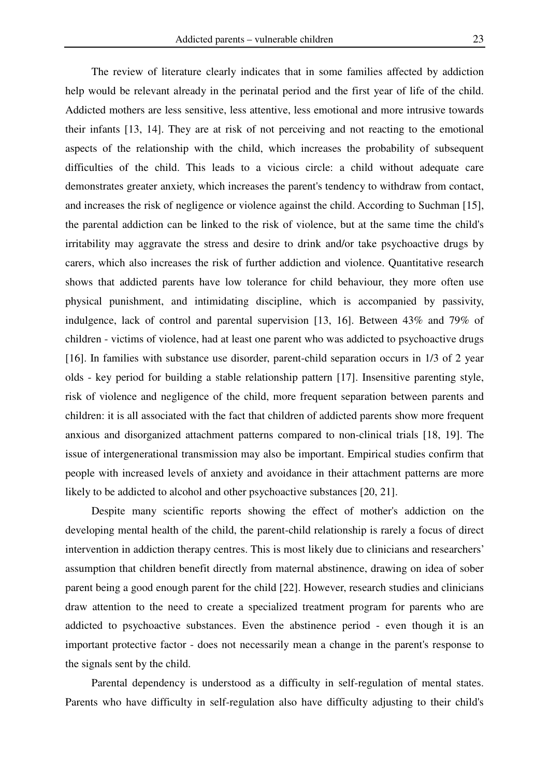The review of literature clearly indicates that in some families affected by addiction help would be relevant already in the perinatal period and the first year of life of the child. Addicted mothers are less sensitive, less attentive, less emotional and more intrusive towards their infants [13, 14]. They are at risk of not perceiving and not reacting to the emotional aspects of the relationship with the child, which increases the probability of subsequent difficulties of the child. This leads to a vicious circle: a child without adequate care demonstrates greater anxiety, which increases the parent's tendency to withdraw from contact, and increases the risk of negligence or violence against the child. According to Suchman [15], the parental addiction can be linked to the risk of violence, but at the same time the child's irritability may aggravate the stress and desire to drink and/or take psychoactive drugs by carers, which also increases the risk of further addiction and violence. Quantitative research shows that addicted parents have low tolerance for child behaviour, they more often use physical punishment, and intimidating discipline, which is accompanied by passivity, indulgence, lack of control and parental supervision [13, 16]. Between 43% and 79% of children - victims of violence, had at least one parent who was addicted to psychoactive drugs [16]. In families with substance use disorder, parent-child separation occurs in 1/3 of 2 year olds - key period for building a stable relationship pattern [17]. Insensitive parenting style, risk of violence and negligence of the child, more frequent separation between parents and children: it is all associated with the fact that children of addicted parents show more frequent anxious and disorganized attachment patterns compared to non-clinical trials [18, 19]. The issue of intergenerational transmission may also be important. Empirical studies confirm that people with increased levels of anxiety and avoidance in their attachment patterns are more likely to be addicted to alcohol and other psychoactive substances [20, 21].

Despite many scientific reports showing the effect of mother's addiction on the developing mental health of the child, the parent-child relationship is rarely a focus of direct intervention in addiction therapy centres. This is most likely due to clinicians and researchers' assumption that children benefit directly from maternal abstinence, drawing on idea of sober parent being a good enough parent for the child [22]. However, research studies and clinicians draw attention to the need to create a specialized treatment program for parents who are addicted to psychoactive substances. Even the abstinence period - even though it is an important protective factor - does not necessarily mean a change in the parent's response to the signals sent by the child.

Parental dependency is understood as a difficulty in self-regulation of mental states. Parents who have difficulty in self-regulation also have difficulty adjusting to their child's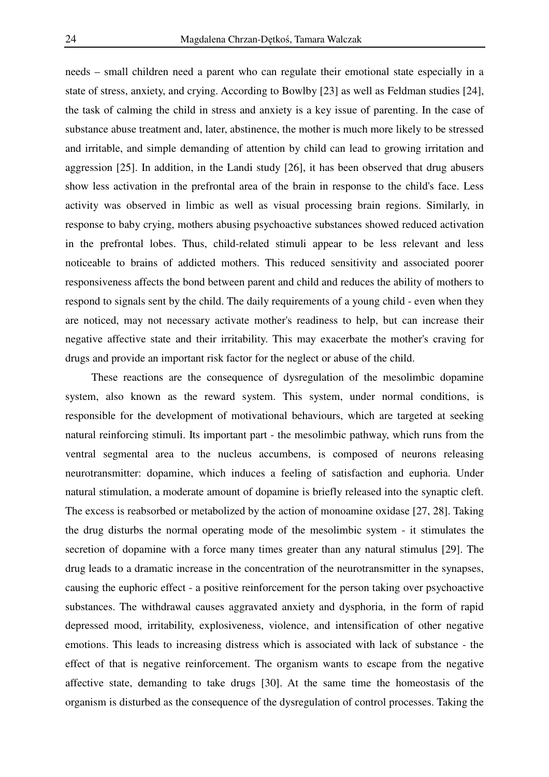needs – small children need a parent who can regulate their emotional state especially in a state of stress, anxiety, and crying. According to Bowlby [23] as well as Feldman studies [24], the task of calming the child in stress and anxiety is a key issue of parenting. In the case of substance abuse treatment and, later, abstinence, the mother is much more likely to be stressed and irritable, and simple demanding of attention by child can lead to growing irritation and aggression [25]. In addition, in the Landi study [26], it has been observed that drug abusers show less activation in the prefrontal area of the brain in response to the child's face. Less activity was observed in limbic as well as visual processing brain regions. Similarly, in response to baby crying, mothers abusing psychoactive substances showed reduced activation in the prefrontal lobes. Thus, child-related stimuli appear to be less relevant and less noticeable to brains of addicted mothers. This reduced sensitivity and associated poorer responsiveness affects the bond between parent and child and reduces the ability of mothers to respond to signals sent by the child. The daily requirements of a young child - even when they are noticed, may not necessary activate mother's readiness to help, but can increase their negative affective state and their irritability. This may exacerbate the mother's craving for drugs and provide an important risk factor for the neglect or abuse of the child.

These reactions are the consequence of dysregulation of the mesolimbic dopamine system, also known as the reward system. This system, under normal conditions, is responsible for the development of motivational behaviours, which are targeted at seeking natural reinforcing stimuli. Its important part - the mesolimbic pathway, which runs from the ventral segmental area to the nucleus accumbens, is composed of neurons releasing neurotransmitter: dopamine, which induces a feeling of satisfaction and euphoria. Under natural stimulation, a moderate amount of dopamine is briefly released into the synaptic cleft. The excess is reabsorbed or metabolized by the action of monoamine oxidase [27, 28]. Taking the drug disturbs the normal operating mode of the mesolimbic system - it stimulates the secretion of dopamine with a force many times greater than any natural stimulus [29]. The drug leads to a dramatic increase in the concentration of the neurotransmitter in the synapses, causing the euphoric effect - a positive reinforcement for the person taking over psychoactive substances. The withdrawal causes aggravated anxiety and dysphoria, in the form of rapid depressed mood, irritability, explosiveness, violence, and intensification of other negative emotions. This leads to increasing distress which is associated with lack of substance - the effect of that is negative reinforcement. The organism wants to escape from the negative affective state, demanding to take drugs [30]. At the same time the homeostasis of the organism is disturbed as the consequence of the dysregulation of control processes. Taking the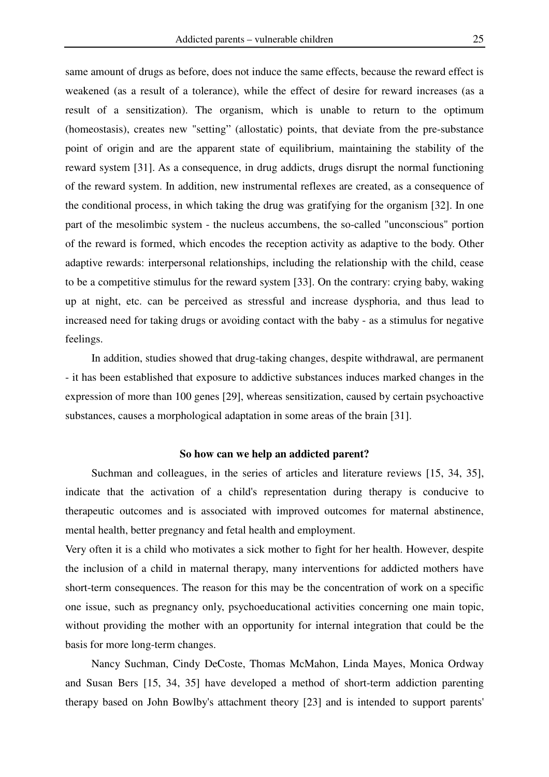same amount of drugs as before, does not induce the same effects, because the reward effect is weakened (as a result of a tolerance), while the effect of desire for reward increases (as a result of a sensitization). The organism, which is unable to return to the optimum (homeostasis), creates new "setting" (allostatic) points, that deviate from the pre-substance point of origin and are the apparent state of equilibrium, maintaining the stability of the reward system [31]. As a consequence, in drug addicts, drugs disrupt the normal functioning of the reward system. In addition, new instrumental reflexes are created, as a consequence of the conditional process, in which taking the drug was gratifying for the organism [32]. In one part of the mesolimbic system - the nucleus accumbens, the so-called "unconscious" portion of the reward is formed, which encodes the reception activity as adaptive to the body. Other adaptive rewards: interpersonal relationships, including the relationship with the child, cease to be a competitive stimulus for the reward system [33]. On the contrary: crying baby, waking up at night, etc. can be perceived as stressful and increase dysphoria, and thus lead to increased need for taking drugs or avoiding contact with the baby - as a stimulus for negative feelings.

In addition, studies showed that drug-taking changes, despite withdrawal, are permanent - it has been established that exposure to addictive substances induces marked changes in the expression of more than 100 genes [29], whereas sensitization, caused by certain psychoactive substances, causes a morphological adaptation in some areas of the brain [31].

# **So how can we help an addicted parent?**

Suchman and colleagues, in the series of articles and literature reviews [15, 34, 35], indicate that the activation of a child's representation during therapy is conducive to therapeutic outcomes and is associated with improved outcomes for maternal abstinence, mental health, better pregnancy and fetal health and employment.

Very often it is a child who motivates a sick mother to fight for her health. However, despite the inclusion of a child in maternal therapy, many interventions for addicted mothers have short-term consequences. The reason for this may be the concentration of work on a specific one issue, such as pregnancy only, psychoeducational activities concerning one main topic, without providing the mother with an opportunity for internal integration that could be the basis for more long-term changes.

Nancy Suchman, Cindy DeCoste, Thomas McMahon, Linda Mayes, Monica Ordway and Susan Bers [15, 34, 35] have developed a method of short-term addiction parenting therapy based on John Bowlby's attachment theory [23] and is intended to support parents'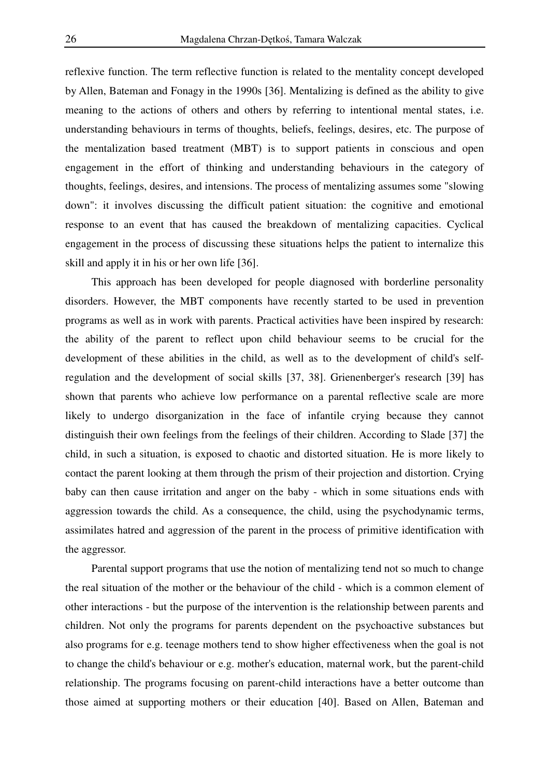reflexive function. The term reflective function is related to the mentality concept developed by Allen, Bateman and Fonagy in the 1990s [36]. Mentalizing is defined as the ability to give meaning to the actions of others and others by referring to intentional mental states, i.e. understanding behaviours in terms of thoughts, beliefs, feelings, desires, etc. The purpose of the mentalization based treatment (MBT) is to support patients in conscious and open engagement in the effort of thinking and understanding behaviours in the category of thoughts, feelings, desires, and intensions. The process of mentalizing assumes some "slowing down": it involves discussing the difficult patient situation: the cognitive and emotional response to an event that has caused the breakdown of mentalizing capacities. Cyclical engagement in the process of discussing these situations helps the patient to internalize this skill and apply it in his or her own life [36].

This approach has been developed for people diagnosed with borderline personality disorders. However, the MBT components have recently started to be used in prevention programs as well as in work with parents. Practical activities have been inspired by research: the ability of the parent to reflect upon child behaviour seems to be crucial for the development of these abilities in the child, as well as to the development of child's selfregulation and the development of social skills [37, 38]. Grienenberger's research [39] has shown that parents who achieve low performance on a parental reflective scale are more likely to undergo disorganization in the face of infantile crying because they cannot distinguish their own feelings from the feelings of their children. According to Slade [37] the child, in such a situation, is exposed to chaotic and distorted situation. He is more likely to contact the parent looking at them through the prism of their projection and distortion. Crying baby can then cause irritation and anger on the baby - which in some situations ends with aggression towards the child. As a consequence, the child, using the psychodynamic terms, assimilates hatred and aggression of the parent in the process of primitive identification with the aggressor.

Parental support programs that use the notion of mentalizing tend not so much to change the real situation of the mother or the behaviour of the child - which is a common element of other interactions - but the purpose of the intervention is the relationship between parents and children. Not only the programs for parents dependent on the psychoactive substances but also programs for e.g. teenage mothers tend to show higher effectiveness when the goal is not to change the child's behaviour or e.g. mother's education, maternal work, but the parent-child relationship. The programs focusing on parent-child interactions have a better outcome than those aimed at supporting mothers or their education [40]. Based on Allen, Bateman and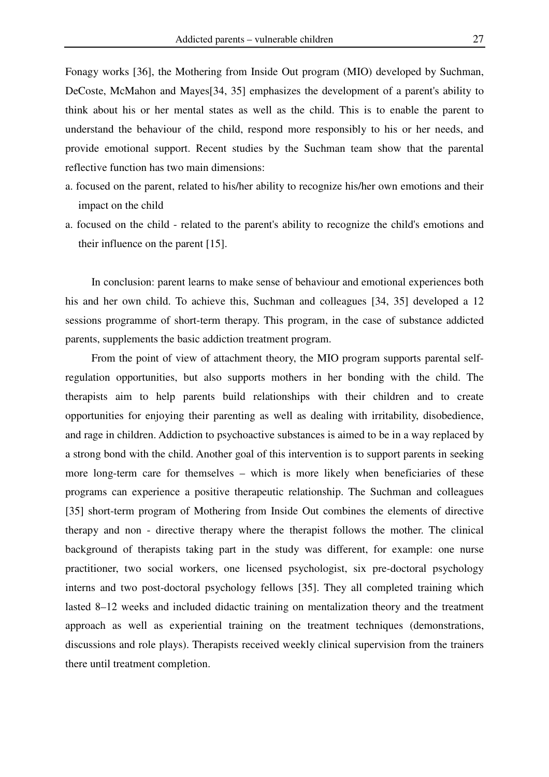Fonagy works [36], the Mothering from Inside Out program (MIO) developed by Suchman, DeCoste, McMahon and Mayes[34, 35] emphasizes the development of a parent's ability to think about his or her mental states as well as the child. This is to enable the parent to understand the behaviour of the child, respond more responsibly to his or her needs, and provide emotional support. Recent studies by the Suchman team show that the parental reflective function has two main dimensions:

- a. focused on the parent, related to his/her ability to recognize his/her own emotions and their impact on the child
- a. focused on the child related to the parent's ability to recognize the child's emotions and their influence on the parent [15].

In conclusion: parent learns to make sense of behaviour and emotional experiences both his and her own child. To achieve this, Suchman and colleagues [34, 35] developed a 12 sessions programme of short-term therapy. This program, in the case of substance addicted parents, supplements the basic addiction treatment program.

From the point of view of attachment theory, the MIO program supports parental selfregulation opportunities, but also supports mothers in her bonding with the child. The therapists aim to help parents build relationships with their children and to create opportunities for enjoying their parenting as well as dealing with irritability, disobedience, and rage in children. Addiction to psychoactive substances is aimed to be in a way replaced by a strong bond with the child. Another goal of this intervention is to support parents in seeking more long-term care for themselves – which is more likely when beneficiaries of these programs can experience a positive therapeutic relationship. The Suchman and colleagues [35] short-term program of Mothering from Inside Out combines the elements of directive therapy and non - directive therapy where the therapist follows the mother. The clinical background of therapists taking part in the study was different, for example: one nurse practitioner, two social workers, one licensed psychologist, six pre-doctoral psychology interns and two post-doctoral psychology fellows [35]. They all completed training which lasted 8–12 weeks and included didactic training on mentalization theory and the treatment approach as well as experiential training on the treatment techniques (demonstrations, discussions and role plays). Therapists received weekly clinical supervision from the trainers there until treatment completion.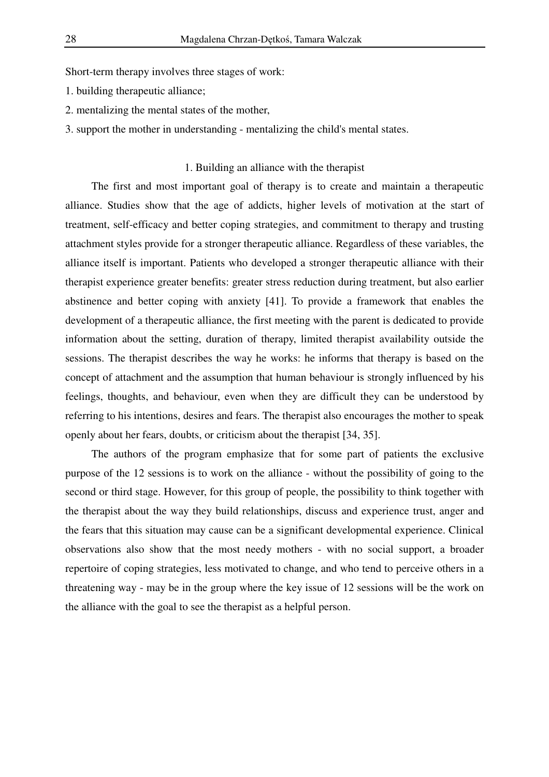Short-term therapy involves three stages of work:

- 1. building therapeutic alliance;
- 2. mentalizing the mental states of the mother,
- 3. support the mother in understanding mentalizing the child's mental states.

# 1. Building an alliance with the therapist

The first and most important goal of therapy is to create and maintain a therapeutic alliance. Studies show that the age of addicts, higher levels of motivation at the start of treatment, self-efficacy and better coping strategies, and commitment to therapy and trusting attachment styles provide for a stronger therapeutic alliance. Regardless of these variables, the alliance itself is important. Patients who developed a stronger therapeutic alliance with their therapist experience greater benefits: greater stress reduction during treatment, but also earlier abstinence and better coping with anxiety [41]. To provide a framework that enables the development of a therapeutic alliance, the first meeting with the parent is dedicated to provide information about the setting, duration of therapy, limited therapist availability outside the sessions. The therapist describes the way he works: he informs that therapy is based on the concept of attachment and the assumption that human behaviour is strongly influenced by his feelings, thoughts, and behaviour, even when they are difficult they can be understood by referring to his intentions, desires and fears. The therapist also encourages the mother to speak openly about her fears, doubts, or criticism about the therapist [34, 35].

The authors of the program emphasize that for some part of patients the exclusive purpose of the 12 sessions is to work on the alliance - without the possibility of going to the second or third stage. However, for this group of people, the possibility to think together with the therapist about the way they build relationships, discuss and experience trust, anger and the fears that this situation may cause can be a significant developmental experience. Clinical observations also show that the most needy mothers - with no social support, a broader repertoire of coping strategies, less motivated to change, and who tend to perceive others in a threatening way - may be in the group where the key issue of 12 sessions will be the work on the alliance with the goal to see the therapist as a helpful person.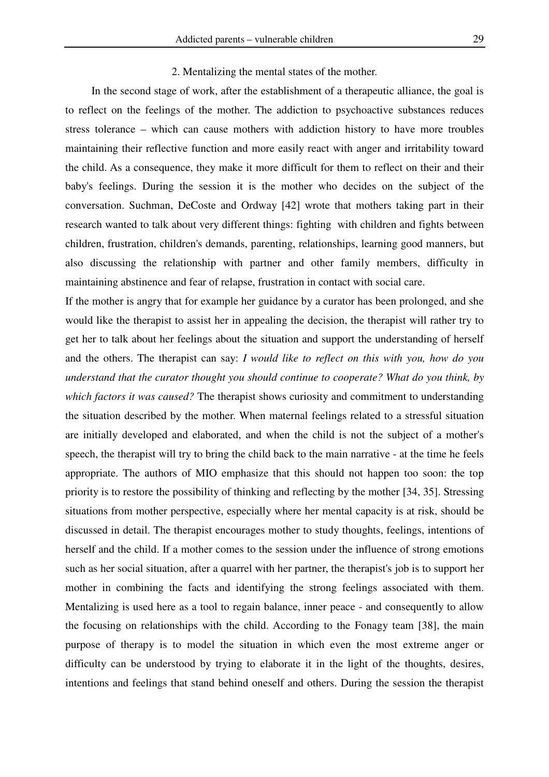#### 2. Mentalizing the mental states of the mother.

In the second stage of work, after the establishment of a therapeutic alliance, the goal is to reflect on the feelings of the mother. The addiction to psychoactive substances reduces stress tolerance – which can cause mothers with addiction history to have more troubles maintaining their reflective function and more easily react with anger and irritability toward the child. As a consequence, they make it more difficult for them to reflect on their and their baby's feelings. During the session it is the mother who decides on the subject of the conversation. Suchman, DeCoste and Ordway [42] wrote that mothers taking part in their research wanted to talk about very different things: fighting with children and fights between children, frustration, children's demands, parenting, relationships, learning good manners, but also discussing the relationship with partner and other family members, difficulty in maintaining abstinence and fear of relapse, frustration in contact with social care.

If the mother is angry that for example her guidance by a curator has been prolonged, and she would like the therapist to assist her in appealing the decision, the therapist will rather try to get her to talk about her feelings about the situation and support the understanding of herself and the others. The therapist can say: *I would like to reflect on this with you, how do you understand that the curator thought you should continue to cooperate? What do you think, by which factors it was caused?* The therapist shows curiosity and commitment to understanding the situation described by the mother. When maternal feelings related to a stressful situation are initially developed and elaborated, and when the child is not the subject of a mother's speech, the therapist will try to bring the child back to the main narrative - at the time he feels appropriate. The authors of MIO emphasize that this should not happen too soon: the top priority is to restore the possibility of thinking and reflecting by the mother [34, 35]. Stressing situations from mother perspective, especially where her mental capacity is at risk, should be discussed in detail. The therapist encourages mother to study thoughts, feelings, intentions of herself and the child. If a mother comes to the session under the influence of strong emotions such as her social situation, after a quarrel with her partner, the therapist's job is to support her mother in combining the facts and identifying the strong feelings associated with them. Mentalizing is used here as a tool to regain balance, inner peace - and consequently to allow the focusing on relationships with the child. According to the Fonagy team [38], the main purpose of therapy is to model the situation in which even the most extreme anger or difficulty can be understood by trying to elaborate it in the light of the thoughts, desires, intentions and feelings that stand behind oneself and others. During the session the therapist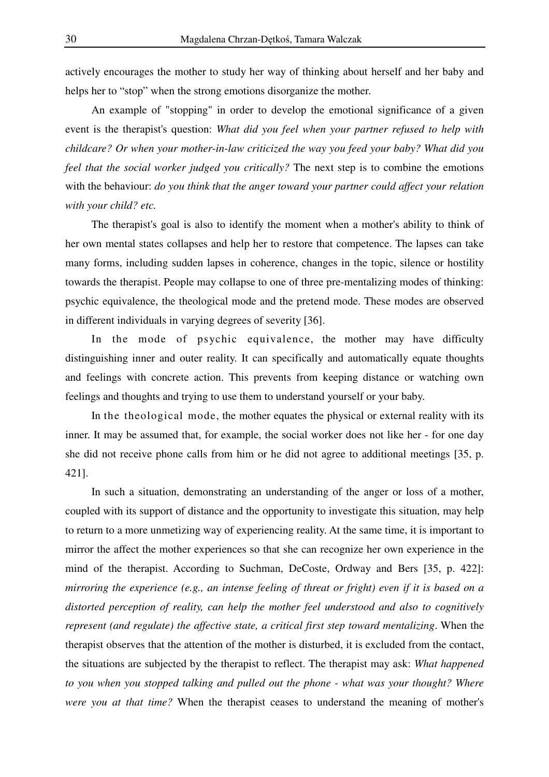actively encourages the mother to study her way of thinking about herself and her baby and helps her to "stop" when the strong emotions disorganize the mother.

An example of "stopping" in order to develop the emotional significance of a given event is the therapist's question: *What did you feel when your partner refused to help with childcare? Or when your mother-in-law criticized the way you feed your baby? What did you feel that the social worker judged you critically?* The next step is to combine the emotions with the behaviour: *do you think that the anger toward your partner could affect your relation with your child? etc.* 

The therapist's goal is also to identify the moment when a mother's ability to think of her own mental states collapses and help her to restore that competence. The lapses can take many forms, including sudden lapses in coherence, changes in the topic, silence or hostility towards the therapist. People may collapse to one of three pre-mentalizing modes of thinking: psychic equivalence, the theological mode and the pretend mode. These modes are observed in different individuals in varying degrees of severity [36].

In the mode of psychic equivalence, the mother may have difficulty distinguishing inner and outer reality. It can specifically and automatically equate thoughts and feelings with concrete action. This prevents from keeping distance or watching own feelings and thoughts and trying to use them to understand yourself or your baby.

In the theological mode, the mother equates the physical or external reality with its inner. It may be assumed that, for example, the social worker does not like her - for one day she did not receive phone calls from him or he did not agree to additional meetings [35, p. 421].

In such a situation, demonstrating an understanding of the anger or loss of a mother, coupled with its support of distance and the opportunity to investigate this situation, may help to return to a more unmetizing way of experiencing reality. At the same time, it is important to mirror the affect the mother experiences so that she can recognize her own experience in the mind of the therapist. According to Suchman, DeCoste, Ordway and Bers [35, p. 422]: *mirroring the experience (e.g., an intense feeling of threat or fright) even if it is based on a distorted perception of reality, can help the mother feel understood and also to cognitively represent (and regulate) the affective state, a critical first step toward mentalizing*. When the therapist observes that the attention of the mother is disturbed, it is excluded from the contact, the situations are subjected by the therapist to reflect. The therapist may ask: *What happened to you when you stopped talking and pulled out the phone - what was your thought? Where were you at that time?* When the therapist ceases to understand the meaning of mother's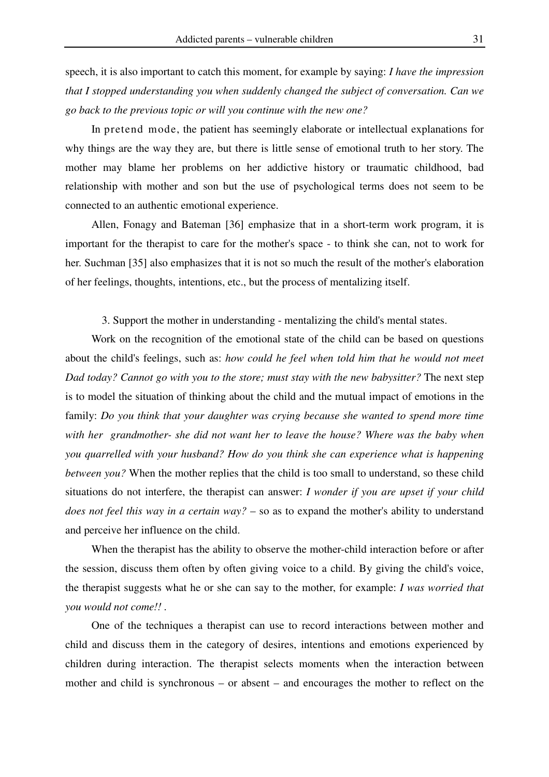speech, it is also important to catch this moment, for example by saying: *I have the impression that I stopped understanding you when suddenly changed the subject of conversation. Can we go back to the previous topic or will you continue with the new one?*

In pretend mode, the patient has seemingly elaborate or intellectual explanations for why things are the way they are, but there is little sense of emotional truth to her story. The mother may blame her problems on her addictive history or traumatic childhood, bad relationship with mother and son but the use of psychological terms does not seem to be connected to an authentic emotional experience.

Allen, Fonagy and Bateman [36] emphasize that in a short-term work program, it is important for the therapist to care for the mother's space - to think she can, not to work for her. Suchman [35] also emphasizes that it is not so much the result of the mother's elaboration of her feelings, thoughts, intentions, etc., but the process of mentalizing itself.

3. Support the mother in understanding - mentalizing the child's mental states.

Work on the recognition of the emotional state of the child can be based on questions about the child's feelings, such as: *how could he feel when told him that he would not meet Dad today? Cannot go with you to the store; must stay with the new babysitter?* The next step is to model the situation of thinking about the child and the mutual impact of emotions in the family: *Do you think that your daughter was crying because she wanted to spend more time with her grandmother- she did not want her to leave the house? Where was the baby when you quarrelled with your husband? How do you think she can experience what is happening between you?* When the mother replies that the child is too small to understand, so these child situations do not interfere, the therapist can answer: *I wonder if you are upset if your child does not feel this way in a certain way?* – so as to expand the mother's ability to understand and perceive her influence on the child.

When the therapist has the ability to observe the mother-child interaction before or after the session, discuss them often by often giving voice to a child. By giving the child's voice, the therapist suggests what he or she can say to the mother, for example: *I was worried that you would not come!! .*

One of the techniques a therapist can use to record interactions between mother and child and discuss them in the category of desires, intentions and emotions experienced by children during interaction. The therapist selects moments when the interaction between mother and child is synchronous – or absent – and encourages the mother to reflect on the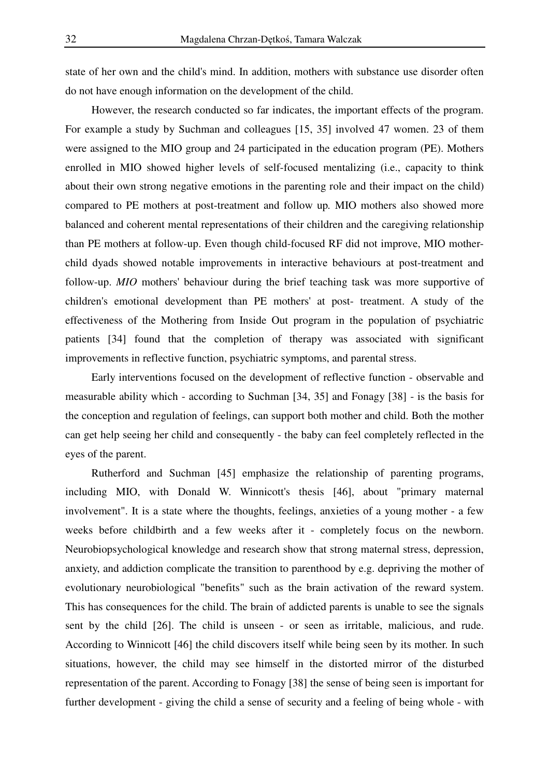state of her own and the child's mind. In addition, mothers with substance use disorder often do not have enough information on the development of the child.

However, the research conducted so far indicates, the important effects of the program. For example a study by Suchman and colleagues [15, 35] involved 47 women. 23 of them were assigned to the MIO group and 24 participated in the education program (PE). Mothers enrolled in MIO showed higher levels of self-focused mentalizing (i.e., capacity to think about their own strong negative emotions in the parenting role and their impact on the child) compared to PE mothers at post-treatment and follow up*.* MIO mothers also showed more balanced and coherent mental representations of their children and the caregiving relationship than PE mothers at follow-up. Even though child-focused RF did not improve, MIO motherchild dyads showed notable improvements in interactive behaviours at post-treatment and follow-up. *MIO* mothers' behaviour during the brief teaching task was more supportive of children's emotional development than PE mothers' at post- treatment. A study of the effectiveness of the Mothering from Inside Out program in the population of psychiatric patients [34] found that the completion of therapy was associated with significant improvements in reflective function, psychiatric symptoms, and parental stress.

Early interventions focused on the development of reflective function - observable and measurable ability which - according to Suchman [34, 35] and Fonagy [38] - is the basis for the conception and regulation of feelings, can support both mother and child. Both the mother can get help seeing her child and consequently - the baby can feel completely reflected in the eyes of the parent.

Rutherford and Suchman [45] emphasize the relationship of parenting programs, including MIO, with Donald W. Winnicott's thesis [46], about "primary maternal involvement". It is a state where the thoughts, feelings, anxieties of a young mother - a few weeks before childbirth and a few weeks after it - completely focus on the newborn. Neurobiopsychological knowledge and research show that strong maternal stress, depression, anxiety, and addiction complicate the transition to parenthood by e.g. depriving the mother of evolutionary neurobiological "benefits" such as the brain activation of the reward system. This has consequences for the child. The brain of addicted parents is unable to see the signals sent by the child [26]. The child is unseen - or seen as irritable, malicious, and rude. According to Winnicott [46] the child discovers itself while being seen by its mother. In such situations, however, the child may see himself in the distorted mirror of the disturbed representation of the parent. According to Fonagy [38] the sense of being seen is important for further development - giving the child a sense of security and a feeling of being whole - with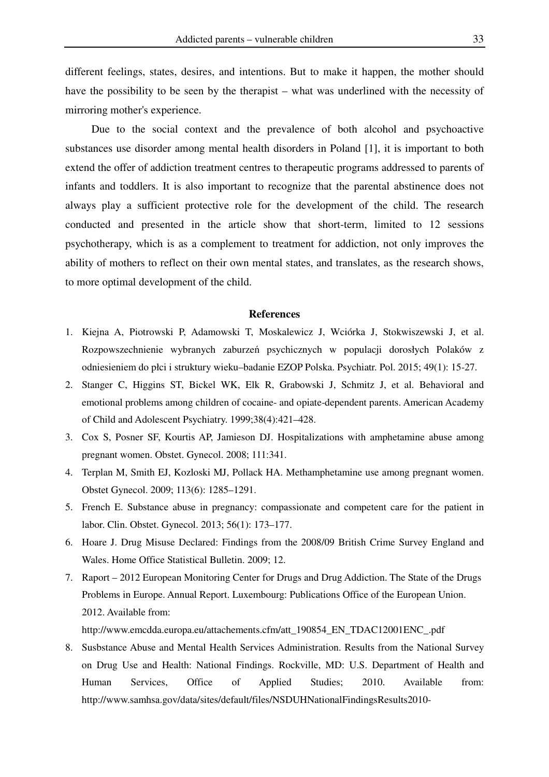different feelings, states, desires, and intentions. But to make it happen, the mother should have the possibility to be seen by the therapist – what was underlined with the necessity of mirroring mother's experience.

Due to the social context and the prevalence of both alcohol and psychoactive substances use disorder among mental health disorders in Poland [1], it is important to both extend the offer of addiction treatment centres to therapeutic programs addressed to parents of infants and toddlers. It is also important to recognize that the parental abstinence does not always play a sufficient protective role for the development of the child. The research conducted and presented in the article show that short-term, limited to 12 sessions psychotherapy, which is as a complement to treatment for addiction, not only improves the ability of mothers to reflect on their own mental states, and translates, as the research shows, to more optimal development of the child.

#### **References**

- 1. Kiejna A, Piotrowski P, Adamowski T, Moskalewicz J, Wciórka J, Stokwiszewski J, et al. Rozpowszechnienie wybranych zaburzeń psychicznych w populacji dorosłych Polaków z odniesieniem do płci i struktury wieku–badanie EZOP Polska. Psychiatr. Pol. 2015; 49(1): 15-27.
- 2. Stanger C, Higgins ST, Bickel WK, Elk R, Grabowski J, Schmitz J, et al. Behavioral and emotional problems among children of cocaine- and opiate-dependent parents. American Academy of Child and Adolescent Psychiatry. 1999;38(4):421–428.
- 3. Cox S, Posner SF, Kourtis AP, Jamieson DJ. Hospitalizations with amphetamine abuse among pregnant women. Obstet. Gynecol. 2008; 111:341.
- 4. Terplan M, Smith EJ, Kozloski MJ, Pollack HA. Methamphetamine use among pregnant women. Obstet Gynecol. 2009; 113(6): 1285–1291.
- 5. French E. Substance abuse in pregnancy: compassionate and competent care for the patient in labor. Clin. Obstet. Gynecol. 2013; 56(1): 173–177.
- 6. Hoare J. Drug Misuse Declared: Findings from the 2008/09 British Crime Survey England and Wales. Home Office Statistical Bulletin. 2009; 12.
- 7. Raport 2012 European Monitoring Center for Drugs and Drug Addiction. The State of the Drugs Problems in Europe. Annual Report. Luxembourg: Publications Office of the European Union. 2012. Available from:

http://www.emcdda.europa.eu/attachements.cfm/att\_190854\_EN\_TDAC12001ENC\_.pdf

8. Susbstance Abuse and Mental Health Services Administration. Results from the National Survey on Drug Use and Health: National Findings. Rockville, MD: U.S. Department of Health and Human Services, Office of Applied Studies; 2010. Available from: http://www.samhsa.gov/data/sites/default/files/NSDUHNationalFindingsResults2010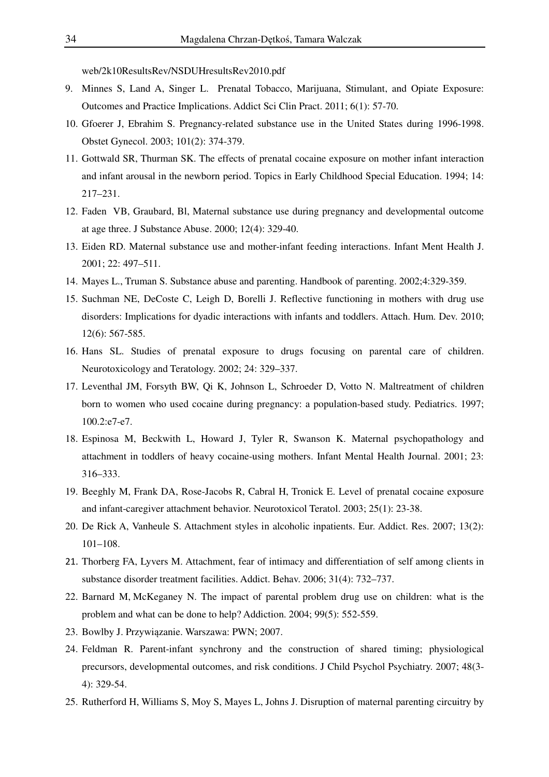web/2k10ResultsRev/NSDUHresultsRev2010.pdf

- 9. Minnes S, Land A, Singer L. Prenatal Tobacco, Marijuana, Stimulant, and Opiate Exposure: Outcomes and Practice Implications. Addict Sci Clin Pract. 2011; 6(1): 57-70.
- 10. Gfoerer J, Ebrahim S. Pregnancy-related substance use in the United States during 1996-1998. Obstet Gynecol. 2003; 101(2): 374-379.
- 11. Gottwald SR, Thurman SK. The effects of prenatal cocaine exposure on mother infant interaction and infant arousal in the newborn period. Topics in Early Childhood Special Education. 1994; 14: 217–231.
- 12. Faden VB, Graubard, Bl, Maternal substance use during pregnancy and developmental outcome at age three. J Substance Abuse. 2000; 12(4): 329-40.
- 13. Eiden RD. Maternal substance use and mother-infant feeding interactions. Infant Ment Health J. 2001; 22: 497–511.
- 14. Mayes L., Truman S. Substance abuse and parenting. Handbook of parenting. 2002;4:329-359.
- 15. Suchman NE, DeCoste C, Leigh D, Borelli J. Reflective functioning in mothers with drug use disorders: Implications for dyadic interactions with infants and toddlers. Attach. Hum. Dev. 2010; 12(6): 567-585.
- 16. Hans SL. Studies of prenatal exposure to drugs focusing on parental care of children. Neurotoxicology and Teratology. 2002; 24: 329–337.
- 17. Leventhal JM, Forsyth BW, Qi K, Johnson L, Schroeder D, Votto N. Maltreatment of children born to women who used cocaine during pregnancy: a population-based study. Pediatrics. 1997; 100.2:e7-e7.
- 18. Espinosa M, Beckwith L, Howard J, Tyler R, Swanson K. Maternal psychopathology and attachment in toddlers of heavy cocaine-using mothers. Infant Mental Health Journal. 2001; 23: 316–333.
- 19. Beeghly M, Frank DA, Rose-Jacobs R, Cabral H, Tronick E. Level of prenatal cocaine exposure and infant-caregiver attachment behavior. Neurotoxicol Teratol. 2003; 25(1): 23-38.
- 20. De Rick A, Vanheule S. Attachment styles in alcoholic inpatients. Eur. Addict. Res. 2007; 13(2): 101–108.
- 21. Thorberg FA, Lyvers M. Attachment, fear of intimacy and differentiation of self among clients in substance disorder treatment facilities. Addict. Behav. 2006; 31(4): 732–737.
- 22. Barnard M, McKeganey N. The impact of parental problem drug use on children: what is the problem and what can be done to help? Addiction. 2004; 99(5): 552-559.
- 23. Bowlby J. Przywiązanie. Warszawa: PWN; 2007.
- 24. Feldman R. Parent-infant synchrony and the construction of shared timing; physiological precursors, developmental outcomes, and risk conditions. J Child Psychol Psychiatry. 2007; 48(3- 4): 329-54.
- 25. Rutherford H, Williams S, Moy S, Mayes L, Johns J. Disruption of maternal parenting circuitry by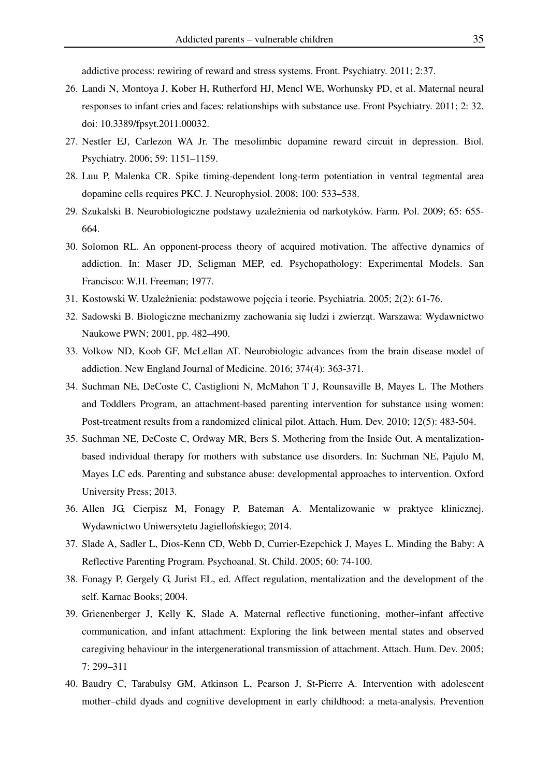addictive process: rewiring of reward and stress systems. Front. Psychiatry. 2011; 2:37.

- 26. Landi N, Montoya J, Kober H, Rutherford HJ, Mencl WE, Worhunsky PD, et al. Maternal neural responses to infant cries and faces: relationships with substance use. Front Psychiatry. 2011; 2: 32. doi: 10.3389/fpsyt.2011.00032.
- 27. Nestler EJ, Carlezon WA Jr. The mesolimbic dopamine reward circuit in depression. Biol. Psychiatry. 2006; 59: 1151–1159.
- 28. Luu P, Malenka CR. Spike timing-dependent long-term potentiation in ventral tegmental area dopamine cells requires PKC. J. Neurophysiol. 2008; 100: 533–538.
- 29. Szukalski B. Neurobiologiczne podstawy uzależnienia od narkotyków. Farm. Pol. 2009; 65: 655- 664.
- 30. Solomon RL. An opponent-process theory of acquired motivation. The affective dynamics of addiction. In: Maser JD, Seligman MEP, ed. Psychopathology: Experimental Models. San Francisco: W.H. Freeman; 1977.
- 31. Kostowski W. Uzależnienia: podstawowe pojęcia i teorie. Psychiatria. 2005; 2(2): 61-76.
- 32. Sadowski B. Biologiczne mechanizmy zachowania się ludzi i zwierząt. Warszawa: Wydawnictwo Naukowe PWN; 2001, pp. 482–490.
- 33. Volkow ND, Koob GF, McLellan AT. Neurobiologic advances from the brain disease model of addiction. New England Journal of Medicine. 2016; 374(4): 363-371.
- 34. Suchman NE, DeCoste C, Castiglioni N, McMahon T J, Rounsaville B, Mayes L. The Mothers and Toddlers Program, an attachment-based parenting intervention for substance using women: Post-treatment results from a randomized clinical pilot. Attach. Hum. Dev. 2010; 12(5): 483-504.
- 35. Suchman NE, DeCoste C, Ordway MR, Bers S. Mothering from the Inside Out. A mentalizationbased individual therapy for mothers with substance use disorders. In: Suchman NE, Pajulo M, Mayes LC eds. Parenting and substance abuse: developmental approaches to intervention. Oxford University Press; 2013.
- 36. Allen JG, Cierpisz M, Fonagy P, Bateman A. Mentalizowanie w praktyce klinicznej. Wydawnictwo Uniwersytetu Jagiellońskiego; 2014.
- 37. Slade A, Sadler L, Dios-Kenn CD, Webb D, Currier-Ezepchick J, Mayes L. Minding the Baby: A Reflective Parenting Program. Psychoanal. St. Child. 2005; 60: 74-100.
- 38. Fonagy P, Gergely G, Jurist EL, ed. Affect regulation, mentalization and the development of the self. Karnac Books; 2004.
- 39. Grienenberger J, Kelly K, Slade A. Maternal reflective functioning, mother–infant affective communication, and infant attachment: Exploring the link between mental states and observed caregiving behaviour in the intergenerational transmission of attachment. Attach. Hum. Dev. 2005; 7: 299–311
- 40. Baudry C, Tarabulsy GM, Atkinson L, Pearson J, St-Pierre A. Intervention with adolescent mother–child dyads and cognitive development in early childhood: a meta-analysis. Prevention